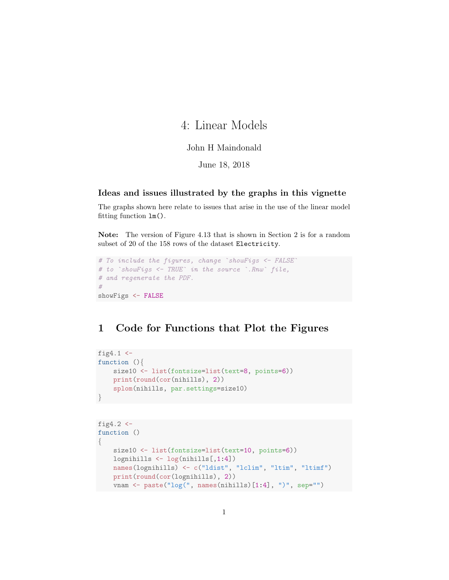# 4: Linear Models

### John H Maindonald

June 18, 2018

#### Ideas and issues illustrated by the graphs in this vignette

The graphs shown here relate to issues that arise in the use of the linear model fitting function lm().

Note: The version of Figure 4.13 that is shown in Section 2 is for a random subset of 20 of the 158 rows of the dataset Electricity.

```
# To include the figures, change `showFigs <- FALSE`
# to `showFigs <- TRUE` in the source `.Rnw` file,
# and regenerate the PDF.
#
showFigs <- FALSE
```
## 1 Code for Functions that Plot the Figures

```
fig4.1 \leftarrowfunction (){
    size10 <- list(fontsize=list(text=8, points=6))
    print(round(cor(nihills), 2))
    splom(nihills, par.settings=size10)
}
```

```
fig4.2 <function ()
{
    size10 <- list(fontsize=list(text=10, points=6))
    lognihills <- log(nihills[,1:4])
    names(lognihills) <- c("ldist", "lclim", "ltim", "ltimf")
    print(round(cor(lognihills), 2))
    vnam <- paste("log(", names(nihills)[1:4], ")", sep="")
```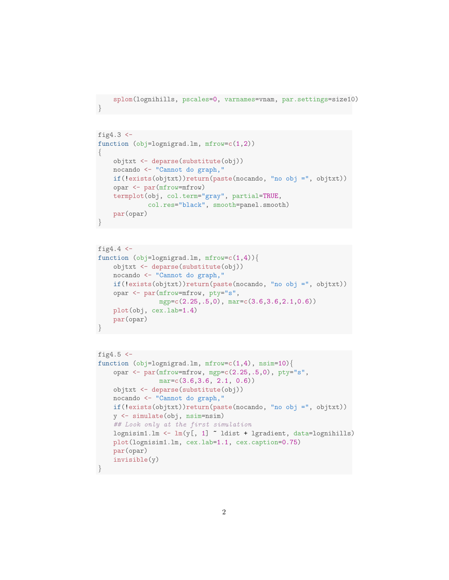```
splom(lognihills, pscales=0, varnames=vnam, par.settings=size10)
```
}

```
fig4.3 \leftarrowfunction (obj=lognigrad.lm, mfrow=c(1,2))
{
    objtxt <- deparse(substitute(obj))
    nocando <- "Cannot do graph,"
   if(!exists(objtxt))return(paste(nocando, "no obj =", objtxt))
    opar <- par(mfrow=mfrow)
    termplot(obj, col.term="gray", partial=TRUE,
             col.res="black", smooth=panel.smooth)
    par(opar)
}
```

```
fig4.4 \leftarrowfunction (obj=lognigrad.lm, mfrow=c(1,4)){
    objtxt <- deparse(substitute(obj))
   nocando <- "Cannot do graph,"
    if(!exists(objtxt))return(paste(nocando, "no obj =", objtxt))
    opar <- par(mfrow=mfrow, pty="s",
                mgp=c(2.25,.5,0), mar=c(3.6,3.6,2.1,0.6))
    plot(obj, cex.lab=1.4)
    par(opar)
}
```

```
fig4.5 \leftarrowfunction (obj=lognigrad.lm, mfrow=c(1,4), nsim=10)opar <- par(mfrow=mfrow, mgp=c(2.25,.5,0), pty="s",
               mar=c(3.6, 3.6, 2.1, 0.6)objtxt <- deparse(substitute(obj))
   nocando <- "Cannot do graph,"
   if(!exists(objtxt))return(paste(nocando, "no obj =", objtxt))
   y <- simulate(obj, nsim=nsim)
   ## Look only at the first simulation
   lognisim1.lm <- lm(y[, 1] ~ ldist + lgradient, data=lognihills)
   plot(lognisim1.lm, cex.lab=1.1, cex.caption=0.75)
   par(opar)
   invisible(y)
}
```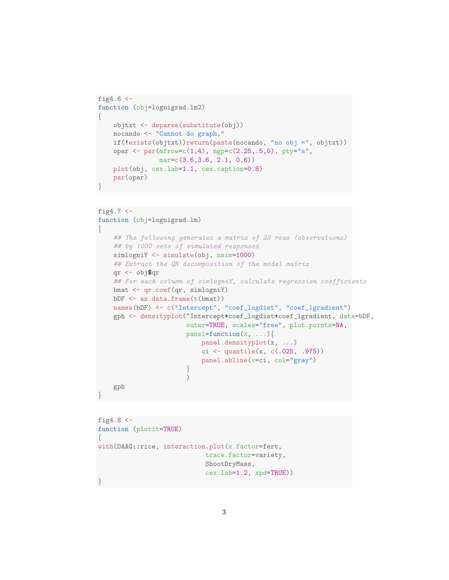```
fig4.6 \leftarrowfunction (obj=lognigrad.lm2)
{
    objtxt <- deparse(substitute(obj))
    nocando <- "Cannot do graph,"
    if(!exists(objtxt))return(paste(nocando, "no obj =", objtxt))
    opar <- par(mfrow=c(1,4), mgpc(2.25,.5,0), py=y's",mar=c(3.6,3.6, 2.1, 0.6))
    plot(obj, cex.lab=1.1, cex.caption=0.8)
    par(opar)
}
```

```
fig4.7 < -function (obj=lognigrad.lm)
{
   ## The following generates a matrix of 23 rows (observations)
    ## by 1000 sets of simulated responses
   simlogniY <- simulate(obj, nsim=1000)
   ## Extract the QR decomposition of the model matrix
   qr <- obj$qr
   ## For each column of simlogniY, calculate regression coefficients
   bmat <- qr.coef(qr, simlogniY)
   bDF \leq as.data.frame(t(bmat))
   names(bDF) <- c("Intercept", "coef_logdist", "coef_lgradient")
    gph <- densityplot(~Intercept+coef_logdist+coef_lgradient, data=bDF,
                       outer=TRUE, scales="free", plot.points=NA,
                       panel=function(x, ...){
                           panel.densityplot(x, ...)
                           ci \leq quantile(x, c(.025, .975))
                           panel.abline(v=ci, col="gray")
                       }
                       )
   gph
}
```

```
fig4.8 < -function (plotit=TRUE)
\{with(DAAG::rice, interaction.plot(x.factor=fert,
                            trace.factor=variety,
                             ShootDryMass,
                             cex.lab=1.2, xpd=TRUE))
}
```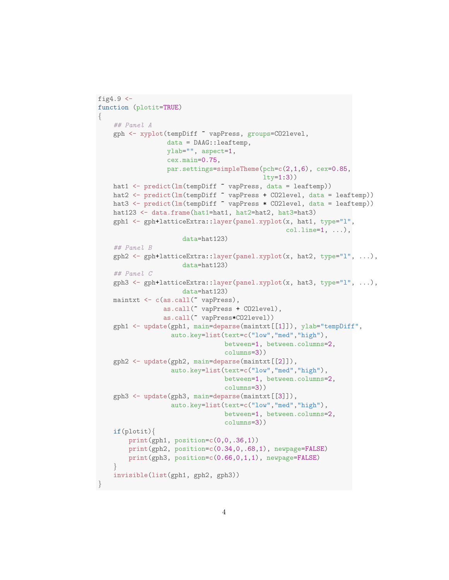```
fig4.9 \leftarrowfunction (plotit=TRUE)
{
    ## Panel A
   gph <- xyplot(tempDiff ~ vapPress, groups=CO2level,
                  data = DAAG::leaftemp,
                  ylab="", aspect=1,
                  cex.main=0.75,
                  par.settings=simpleTheme(pch=c(2,1,6), cex=0.85,
                                           lty=1:3))
   hat1 <- predict(lm(tempDiff ~ vapPress, data = leaftemp))
   hat2 <- predict(lm(tempDiff ~ vapPress + CO2level, data = leaftemp))
   hat3 <- predict(lm(tempDiff ~ vapPress * CO2level, data = leaftemp))
   hat123 <- data.frame(hat1=hat1, hat2=hat2, hat3=hat3)
    gph1 <- gph+latticeExtra::layer(panel.xyplot(x, hat1, type="l",
                                                  colu.line=1, ...),
                      data=hat123)
    ## Panel B
    gph2 \leq gph+1atticeExtra::layer(panel.xyplot(x, hat2, type="1", ...),
                      data=hat123)
    ## Panel C
    gph3 <- gph+latticeExtra::layer(panel.xyplot(x, hat3, type="l", ...),
                      data=hat123)
   maintxt <- c(as.call("vapPress),
                 as.call(~ vapPress + CO2level),
                 as.call(~ vapPress*CO2level))
    gph1 <- update(gph1, main=deparse(maintxt[[1]]), ylab="tempDiff",
                   auto.key=list(text=c("low","med","high"),
                                 between=1, between.columns=2,
                                 columns=3))
    gph2 <- update(gph2, main=deparse(maintxt[[2]]),
                   auto.key=list(text=c("low","med","high"),
                                 between=1, between.columns=2,
                                 columns=3))
    gph3 <- update(gph3, main=deparse(maintxt[[3]]),
                   auto.key=list(text=c("low","med","high"),
                                 between=1, between.columns=2,
                                 columns=3))
   if(plotit){
        print(gph1, position=c(0,0,.36,1))print(gph2, position=c(0.34,0,.68,1), newpage=FALSE)
        print(gph3, position=c(0.66,0,1,1), newpage=FALSE)
    }
    invisible(list(gph1, gph2, gph3))
}
```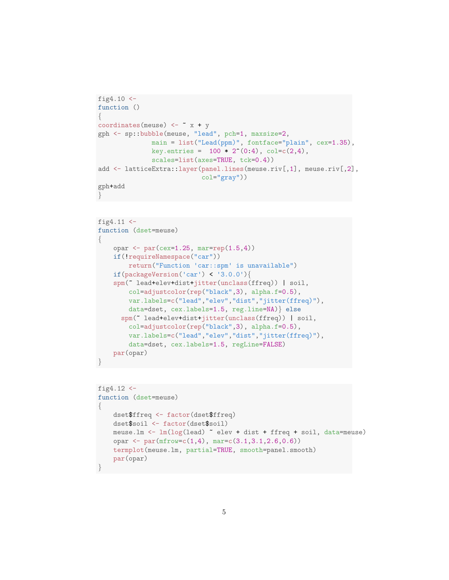```
fig4.10 <-
function ()
{
coordinates(meuse) \leftarrow \alpha x + y
gph <- sp::bubble(meuse, "lead", pch=1, maxsize=2,
               main = list("Lead(ppm)", fontface="plain", cex=1.35),
               key.entries = 100 * 2^*(0:4), col=c(2,4),
               scales=list(axes=TRUE, tck=0.4))
add <- latticeExtra::layer(panel.lines(meuse.riv[,1], meuse.riv[,2],
                            col="gray"))
gph+add
}
```

```
fig4.11 <-
function (dset=meuse)
{
    opar <- par(cex=1.25, mar=rep(1.5,4))
    if(!requireNamespace("car"))
        return("Function 'car::spm' is unavailable")
    if(packageVersion('car') < '3.0.0'){
    spm(~ lead+elev+dist+jitter(unclass(ffreq)) | soil,
        col=adjustcolor(rep("black",3), alpha.f=0.5),
        var.labels=c("lead","elev","dist","jitter(ffreq)"),
        data=dset, cex.labels=1.5, reg.line=NA)} else
      spm(~ lead+elev+dist+jitter(unclass(ffreq)) | soil,
        col=adjustcolor(rep("black",3), alpha.f=0.5),
        var.labels=c("lead","elev","dist","jitter(ffreq)"),
        data=dset, cex.labels=1.5, regLine=FALSE)
   par(opar)
}
```

```
fig4.12 <function (dset=meuse)
{
   dset$ffreq <- factor(dset$ffreq)
   dset$soil <- factor(dset$soil)
   meuse.lm <- lm(log(lead) ~ elev + dist + ffreq + soil, data=meuse)
   opar <- par(mfrow=c(1,4), mar=c(3.1,3.1,2.6,0.6))
    termplot(meuse.lm, partial=TRUE, smooth=panel.smooth)
   par(opar)
}
```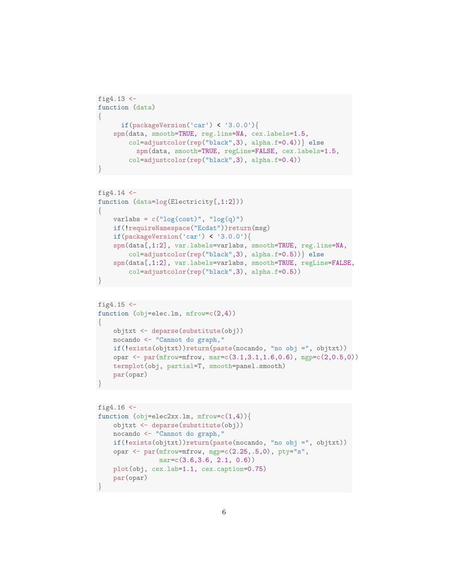```
fig4.13 <-
function (data)
{
      if(packageVersion('car') < '3.0.0'){
    spm(data, smooth=TRUE, reg.line=NA, cex.labels=1.5,
        col=adjustcolor(rep("black",3), alpha.f=0.4))} else
          spm(data, smooth=TRUE, regLine=FALSE, cex.labels=1.5,
        col=adjustcolor(rep("black",3), alpha.f=0.4))
}
```

```
fig4.14 <-function (data=log(Electricity[,1:2]))
{
   varlabs = c("log(cost)", "log(q)")if(!requireNamespace("Ecdat"))return(msg)
   if(packageVersion('car') < '3.0.0'){
   spm(data[,1:2], var.labels=varlabs, smooth=TRUE, reg.line=NA,
        col=adjustcolor(rep("black",3), alpha.f=0.5))} else
    spm(data[,1:2], var.labels=varlabs, smooth=TRUE, regLine=FALSE,
        col=adjustcolor(rep("black",3), alpha.f=0.5))
}
```

```
fig4.15 < -function (obj=elec.lm, mfrow=c(2,4))
{
   objtxt <- deparse(substitute(obj))
   nocando <- "Cannot do graph,"
   if(!exists(objtxt))return(paste(nocando, "no obj =", objtxt))
    opar \leq par(mfrow=mfrow, mar=c(3.1,3.1,1.6,0.6), mgp=c(2,0.5,0))
   termplot(obj, partial=T, smooth=panel.smooth)
    par(opar)
}
```

```
fig4.16 <-
function (obj=elec2xx.lm, mfrow=c(1,4))objtxt <- deparse(substitute(obj))
   nocando <- "Cannot do graph,"
    if(!exists(objtxt))return(paste(nocando, "no obj =", objtxt))
   opar <- par(mfrow=mfrow, mgp=c(2.25,.5,0), pty="s",
                mar=c(3.6,3.6, 2.1, 0.6))
   plot(obj, cex.lab=1.1, cex.caption=0.75)
   par(opar)
}
```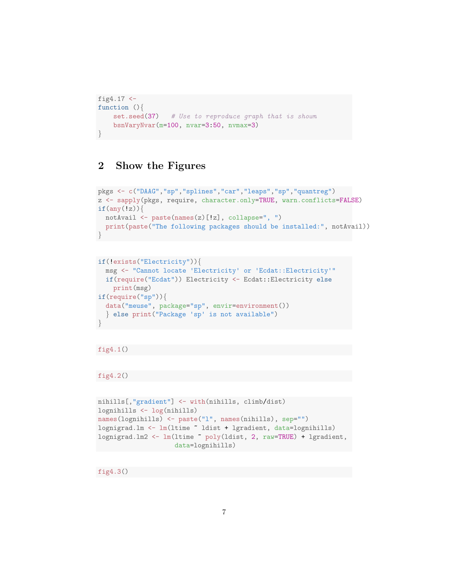```
fig4.17 <-
function (){
   set.seed(37) # Use to reproduce graph that is shown
   bsnVaryNvar(m=100, nvar=3:50, nvmax=3)
}
```
### 2 Show the Figures

```
pkgs <- c("DAAG","sp","splines","car","leaps","sp","quantreg")
z <- sapply(pkgs, require, character.only=TRUE, warn.conflicts=FALSE)
if(any(!z))notAvail <- paste(names(z)[!z], collapse=", ")
 print(paste("The following packages should be installed:", notAvail))
}
```

```
if(!exists("Electricity")){
 msg <- "Cannot locate 'Electricity' or 'Ecdat::Electricity'"
 if(require("Ecdat")) Electricity <- Ecdat::Electricity else
   print(msg)
if(require("sp")){
 data("meuse", package="sp", envir=environment())
  } else print("Package 'sp' is not available")
}
```
### fig4.1()

### fig4.2()

```
nihills[,"gradient"] <- with(nihills, climb/dist)
lognihills <- log(nihills)
names(lognihills) <- paste("l", names(nihills), sep="")
lognigrad.lm <- lm(ltime ~ ldist + lgradient, data=lognihills)
lognigrad.lm2 <- lm(ltime ~ poly(ldist, 2, raw=TRUE) + lgradient,
                    data=lognihills)
```
fig4.3()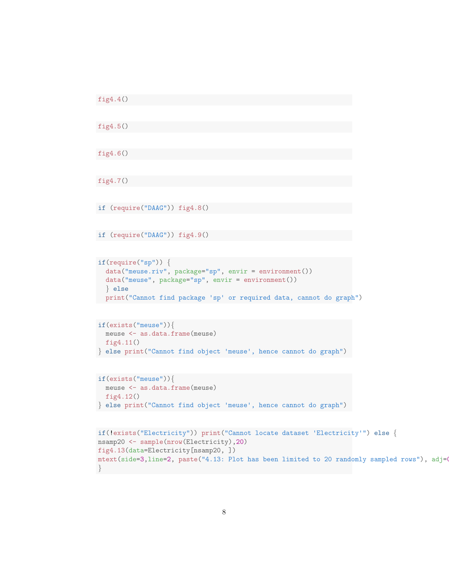```
fig4.4()
fig4.5()
fig4.6()
fig4.7()
if (require("DAAG")) fig4.8()
if (require("DAAG")) fig4.9()
if(require("sp")) \{data("meuse.riv", package="sp", envir = environment())
  data("meuse", package="sp", envir = environment())
  } else
  print("Cannot find package 'sp' or required data, cannot do graph")
if(exists("meuse")){
  meuse <- as.data.frame(meuse)
  fig4.11()
} else print("Cannot find object 'meuse', hence cannot do graph")
if(exists("meuse")){
  meuse <- as.data.frame(meuse)
  fig4.12()
} else print("Cannot find object 'meuse', hence cannot do graph")
if(!exists("Electricity")) print("Cannot locate dataset 'Electricity'") else {
nsamp20 <- sample(nrow(Electricity),20)
fig4.13(data=Electricity[nsamp20, ])
mtext(side=3,line=2, paste("4.13: Plot has been limited to 20 randomly sampled rows"), adj=0
}
```